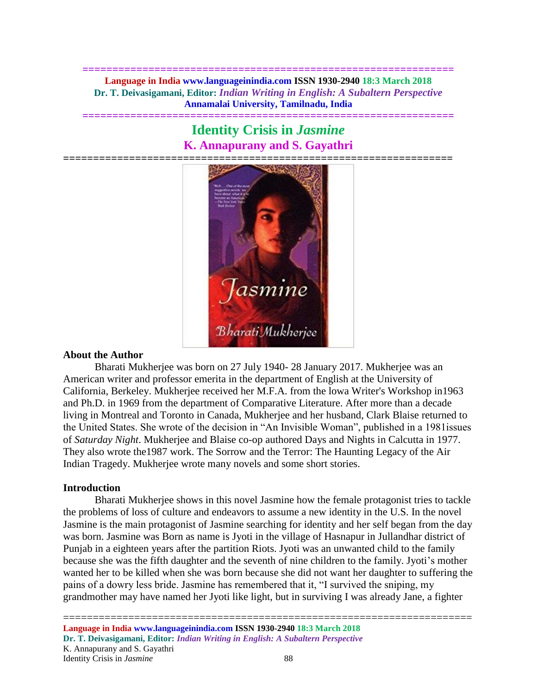**============================================================== Language in India www.languageinindia.com ISSN 1930-2940 18:3 March 2018 Dr. T. Deivasigamani, Editor:** *Indian Writing in English: A Subaltern Perspective* **Annamalai University, Tamilnadu, India**

# **Identity Crisis in** *Jasmine* **K. Annapurany and S. Gayathri**

**==============================================================**



# **About the Author**

Bharati Mukherjee was born on 27 July 1940- 28 January 2017. Mukherjee was an American writer and professor emerita in the department of English at the University of California, Berkeley. Mukherjee received her M.F.A. from the lowa Writer's Workshop in1963 and Ph.D. in 1969 from the department of Comparative Literature. After more than a decade living in Montreal and Toronto in Canada, Mukherjee and her husband, Clark Blaise returned to the United States. She wrote of the decision in "An Invisible Woman", published in a 1981issues of *Saturday Night*. Mukherjee and Blaise co-op authored Days and Nights in Calcutta in 1977. They also wrote the1987 work. The Sorrow and the Terror: The Haunting Legacy of the Air Indian Tragedy. Mukherjee wrote many novels and some short stories.

#### **Introduction**

Bharati Mukherjee shows in this novel Jasmine how the female protagonist tries to tackle the problems of loss of culture and endeavors to assume a new identity in the U.S. In the novel Jasmine is the main protagonist of Jasmine searching for identity and her self began from the day was born. Jasmine was Born as name is Jyoti in the village of Hasnapur in Jullandhar district of Punjab in a eighteen years after the partition Riots. Jyoti was an unwanted child to the family because she was the fifth daughter and the seventh of nine children to the family. Jyoti's mother wanted her to be killed when she was born because she did not want her daughter to suffering the pains of a dowry less bride. Jasmine has remembered that it, "I survived the sniping, my grandmother may have named her Jyoti like light, but in surviving I was already Jane, a fighter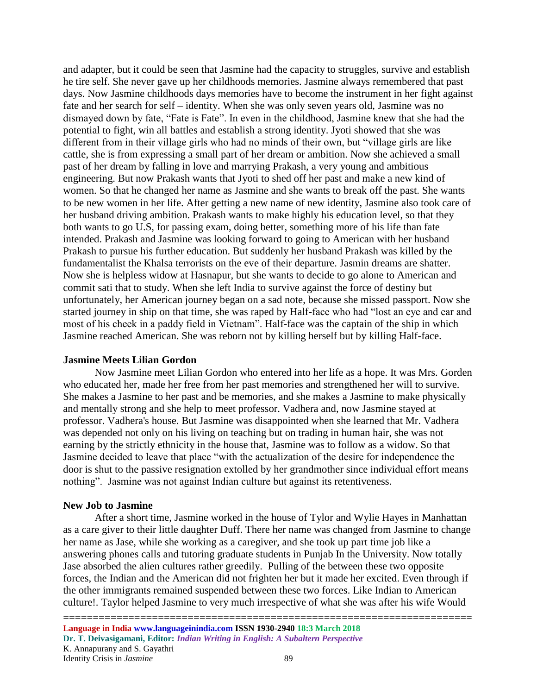and adapter, but it could be seen that Jasmine had the capacity to struggles, survive and establish he tire self. She never gave up her childhoods memories. Jasmine always remembered that past days. Now Jasmine childhoods days memories have to become the instrument in her fight against fate and her search for self – identity. When she was only seven years old, Jasmine was no dismayed down by fate, "Fate is Fate". In even in the childhood, Jasmine knew that she had the potential to fight, win all battles and establish a strong identity. Jyoti showed that she was different from in their village girls who had no minds of their own, but "village girls are like cattle, she is from expressing a small part of her dream or ambition. Now she achieved a small past of her dream by falling in love and marrying Prakash, a very young and ambitious engineering. But now Prakash wants that Jyoti to shed off her past and make a new kind of women. So that he changed her name as Jasmine and she wants to break off the past. She wants to be new women in her life. After getting a new name of new identity, Jasmine also took care of her husband driving ambition. Prakash wants to make highly his education level, so that they both wants to go U.S, for passing exam, doing better, something more of his life than fate intended. Prakash and Jasmine was looking forward to going to American with her husband Prakash to pursue his further education. But suddenly her husband Prakash was killed by the fundamentalist the Khalsa terrorists on the eve of their departure. Jasmin dreams are shatter. Now she is helpless widow at Hasnapur, but she wants to decide to go alone to American and commit sati that to study. When she left India to survive against the force of destiny but unfortunately, her American journey began on a sad note, because she missed passport. Now she started journey in ship on that time, she was raped by Half-face who had "lost an eye and ear and most of his cheek in a paddy field in Vietnam". Half-face was the captain of the ship in which Jasmine reached American. She was reborn not by killing herself but by killing Half-face.

#### **Jasmine Meets Lilian Gordon**

Now Jasmine meet Lilian Gordon who entered into her life as a hope. It was Mrs. Gorden who educated her, made her free from her past memories and strengthened her will to survive. She makes a Jasmine to her past and be memories, and she makes a Jasmine to make physically and mentally strong and she help to meet professor. Vadhera and, now Jasmine stayed at professor. Vadhera's house. But Jasmine was disappointed when she learned that Mr. Vadhera was depended not only on his living on teaching but on trading in human hair, she was not earning by the strictly ethnicity in the house that, Jasmine was to follow as a widow. So that Jasmine decided to leave that place "with the actualization of the desire for independence the door is shut to the passive resignation extolled by her grandmother since individual effort means nothing". Jasmine was not against Indian culture but against its retentiveness.

# **New Job to Jasmine**

 After a short time, Jasmine worked in the house of Tylor and Wylie Hayes in Manhattan as a care giver to their little daughter Duff. There her name was changed from Jasmine to change her name as Jase, while she working as a caregiver, and she took up part time job like a answering phones calls and tutoring graduate students in Punjab In the University. Now totally Jase absorbed the alien cultures rather greedily. Pulling of the between these two opposite forces, the Indian and the American did not frighten her but it made her excited. Even through if the other immigrants remained suspended between these two forces. Like Indian to American culture!. Taylor helped Jasmine to very much irrespective of what she was after his wife Would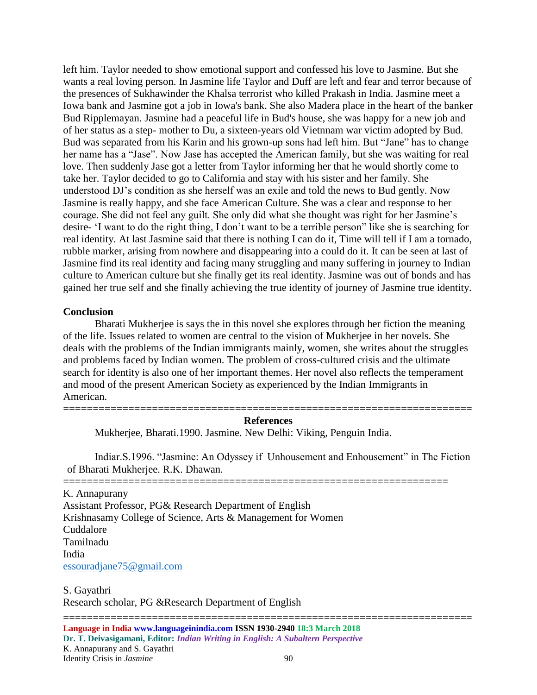left him. Taylor needed to show emotional support and confessed his love to Jasmine. But she wants a real loving person. In Jasmine life Taylor and Duff are left and fear and terror because of the presences of Sukhawinder the Khalsa terrorist who killed Prakash in India. Jasmine meet a Iowa bank and Jasmine got a job in Iowa's bank. She also Madera place in the heart of the banker Bud Ripplemayan. Jasmine had a peaceful life in Bud's house, she was happy for a new job and of her status as a step- mother to Du, a sixteen-years old Vietnnam war victim adopted by Bud. Bud was separated from his Karin and his grown-up sons had left him. But "Jane" has to change her name has a "Jase". Now Jase has accepted the American family, but she was waiting for real love. Then suddenly Jase got a letter from Taylor informing her that he would shortly come to take her. Taylor decided to go to California and stay with his sister and her family. She understood DJ's condition as she herself was an exile and told the news to Bud gently. Now Jasmine is really happy, and she face American Culture. She was a clear and response to her courage. She did not feel any guilt. She only did what she thought was right for her Jasmine's desire- 'I want to do the right thing, I don't want to be a terrible person" like she is searching for real identity. At last Jasmine said that there is nothing I can do it, Time will tell if I am a tornado, rubble marker, arising from nowhere and disappearing into a could do it. It can be seen at last of Jasmine find its real identity and facing many struggling and many suffering in journey to Indian culture to American culture but she finally get its real identity. Jasmine was out of bonds and has gained her true self and she finally achieving the true identity of journey of Jasmine true identity.

## **Conclusion**

Bharati Mukherjee is says the in this novel she explores through her fiction the meaning of the life. Issues related to women are central to the vision of Mukherjee in her novels. She deals with the problems of the Indian immigrants mainly, women, she writes about the struggles and problems faced by Indian women. The problem of cross-cultured crisis and the ultimate search for identity is also one of her important themes. Her novel also reflects the temperament and mood of the present American Society as experienced by the Indian Immigrants in American.

## ===================================================================== **References**

Mukherjee, Bharati.1990. Jasmine. New Delhi: Viking, Penguin India.

Indiar.S.1996. "Jasmine: An Odyssey if Unhousement and Enhousement" in The Fiction of Bharati Mukherjee. R.K. Dhawan.

=================================================================

K. Annapurany Assistant Professor, PG& Research Department of English Krishnasamy College of Science, Arts & Management for Women Cuddalore Tamilnadu India [essouradjane75@gmail.com](mailto:essouradjane75@gmail.com)

S. Gayathri Research scholar, PG &Research Department of English